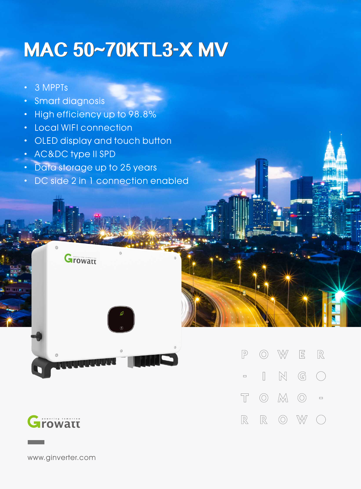## **MAC 50~70KTL3-X MV**

- · 3 MPPTs
- · Smart diagnosis
- · High efficiency up to 98.8%
- · Local WIFI connection
- · OLED display and touch button
- · AC&DC type II SPD
- · Data storage up to 25 years

**Growatt** 

· DC side 2 in 1 connection enabled

W

 $\mathbb{N}$ 

 $\circledcirc$ 

 $\circledcirc$   $\mathbb{M}$   $\circlearrowright$  =

 $\sqrt{P}$ 

 $\Box$ 

 $\top$ 

 $\mathbb{R}$ 

 $\circledcirc$ 

 $\begin{array}{ccc} \hline \end{array}$ 

 $\mathbb{R}$ 

 $\boxed{\Xi}$ 

 $\mathbb{G}$ 

W

 $\mathbb{R}$ 

 $\bigcap$ 



www.ginverter.com